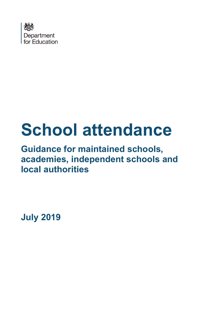

# **School attendance**

# **Guidance for maintained schools, academies, independent schools and local authorities**

**July 2019**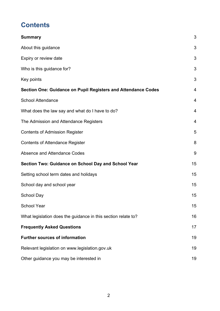# **Contents**

| <b>Summary</b>                                                       | 3  |
|----------------------------------------------------------------------|----|
| About this guidance                                                  | 3  |
| Expiry or review date                                                | 3  |
| Who is this guidance for?                                            | 3  |
| Key points                                                           | 3  |
| <b>Section One: Guidance on Pupil Registers and Attendance Codes</b> | 4  |
| <b>School Attendance</b>                                             | 4  |
| What does the law say and what do I have to do?                      | 4  |
| The Admission and Attendance Registers                               | 4  |
| <b>Contents of Admission Register</b>                                | 5  |
| <b>Contents of Attendance Register</b>                               | 8  |
| Absence and Attendance Codes                                         | 9  |
| <b>Section Two: Guidance on School Day and School Year</b>           | 15 |
| Setting school term dates and holidays                               | 15 |
| School day and school year                                           | 15 |
| <b>School Day</b>                                                    | 15 |
| <b>School Year</b>                                                   | 15 |
| What legislation does the guidance in this section relate to?        | 16 |
| <b>Frequently Asked Questions</b>                                    | 17 |
| <b>Further sources of information</b>                                | 19 |
| Relevant legislation on www.legislation.gov.uk                       | 19 |
| Other guidance you may be interested in                              | 19 |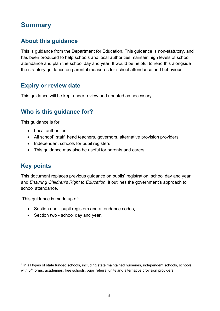# <span id="page-2-0"></span>**Summary**

## <span id="page-2-1"></span>**About this guidance**

This is guidance from the Department for Education. This guidance is non-statutory, and has been produced to help schools and local authorities maintain high levels of school attendance and plan the school day and year. It would be helpful to read this alongside the statutory guidance on parental measures for school attendance and behaviour.

## <span id="page-2-2"></span>**Expiry or review date**

This guidance will be kept under review and updated as necessary.

## <span id="page-2-3"></span>**Who is this guidance for?**

This guidance is for:

- Local authorities
- All school<sup>[1](#page-2-5)</sup> staff, head teachers, governors, alternative provision providers
- Independent schools for pupil registers
- This guidance may also be useful for parents and carers

## <span id="page-2-4"></span>**Key points**

This document replaces previous guidance on pupils' registration, school day and year, and *Ensuring Children's Right to Education,* it outlines the government's approach to school attendance.

This guidance is made up of:

- Section one pupil registers and attendance codes:
- Section two school day and year.

<span id="page-2-5"></span> $\overline{a}$  $<sup>1</sup>$  In all types of state funded schools, including state maintained nurseries, independent schools, schools</sup> with 6<sup>th</sup> forms, academies, free schools, pupil referral units and alternative provision providers.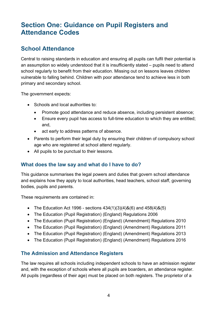# <span id="page-3-0"></span>**Section One: Guidance on Pupil Registers and Attendance Codes**

## <span id="page-3-1"></span>**School Attendance**

Central to raising standards in education and ensuring all pupils can fulfil their potential is an assumption so widely understood that it is insufficiently stated – pupils need to attend school regularly to benefit from their education. Missing out on lessons leaves children vulnerable to falling behind. Children with poor attendance tend to achieve less in both primary and secondary school.

The government expects:

- Schools and local authorities to:
	- Promote good attendance and reduce absence, including persistent absence;
	- Ensure every pupil has access to full-time education to which they are entitled; and,
	- act early to address patterns of absence.
- Parents to perform their legal duty by ensuring their children of compulsory school age who are registered at school attend regularly.
- All pupils to be punctual to their lessons.

#### <span id="page-3-2"></span>**What does the law say and what do I have to do?**

This guidance summarises the legal powers and duties that govern school attendance and explains how they apply to local authorities, head teachers, school staff, governing bodies, pupils and parents.

These requirements are contained in:

- The Education Act 1996 sections  $434(1)(3)(4)8(6)$  and  $458(4)8(5)$
- The Education (Pupil Registration) (England) Regulations 2006
- The Education (Pupil Registration) (England) (Amendment) Regulations 2010
- The Education (Pupil Registration) (England) (Amendment) Regulations 2011
- The Education (Pupil Registration) (England) (Amendment) Regulations 2013
- The Education (Pupil Registration) (England) (Amendment) Regulations 2016

#### <span id="page-3-3"></span>**The Admission and Attendance Registers**

The law requires all schools including independent schools to have an admission register and, with the exception of schools where all pupils are boarders, an attendance register. All pupils (regardless of their age) must be placed on both registers. The proprietor of a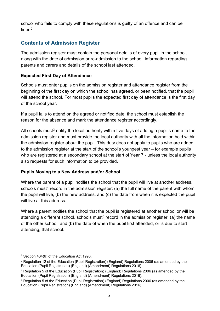school who fails to comply with these regulations is guilty of an offence and can be fined $2$ .

## <span id="page-4-0"></span>**Contents of Admission Register**

The admission register must contain the personal details of every pupil in the school, along with the date of admission or re-admission to the school, information regarding parents and carers and details of the school last attended.

#### **Expected First Day of Attendance**

Schools must enter pupils on the admission register and attendance register from the beginning of the first day on which the school has agreed, or been notified, that the pupil will attend the school. For most pupils the expected first day of attendance is the first day of the school year.

If a pupil fails to attend on the agreed or notified date, the school must establish the reason for the absence and mark the attendance register accordingly.

All schools must<sup>[3](#page-4-2)</sup> notify the local authority within five days of adding a pupil's name to the admission register and must provide the local authority with all the information held within the admission register about the pupil. This duty does not apply to pupils who are added to the admission register at the start of the school's youngest year – for example pupils who are registered at a secondary school at the start of Year 7 - unless the local authority also requests for such information to be provided.

#### **Pupils Moving to a New Address and/or School**

Where the parent of a pupil notifies the school that the pupil will live at another address, schools must<sup>[4](#page-4-3)</sup> record in the admission register: (a) the full name of the parent with whom the pupil will live, (b) the new address, and (c) the date from when it is expected the pupil will live at this address.

Where a parent notifies the school that the pupil is registered at another school or will be attending a different school, schools must<sup>[5](#page-4-4)</sup> record in the admission register; (a) the name of the other school, and (b) the date of when the pupil first attended, or is due to start attending, that school.

<span id="page-4-1"></span> $\overline{a}$ 2 Section 434(6) of the Education Act 1996.

<span id="page-4-2"></span><sup>&</sup>lt;sup>3</sup> Regulation 12 of the Education (Pupil Registration) (England) Regulations 2006 (as amended by the Education (Pupil Registration) (England) (Amendment) Regulations 2016).

<span id="page-4-3"></span><sup>4</sup> Regulation 5 of the Education (Pupil Registration) (England) Regulations 2006 (as amended by the Education (Pupil Registration) (England) (Amendment) Regulations 2016).

<span id="page-4-4"></span><sup>5</sup> Regulation 5 of the Education (Pupil Registration) (England) Regulations 2006 (as amended by the Education (Pupil Registration) (England) (Amendment) Regulations 2016).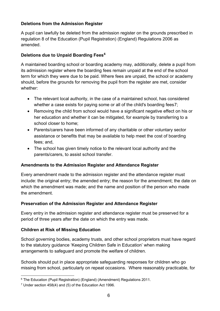#### **Deletions from the Admission Register**

A pupil can lawfully be deleted from the admission register on the grounds prescribed in regulation 8 of the Education (Pupil Registration) (England) Regulations 2006 as amended.

#### **Deletions due to Unpaid Boarding Fees[6](#page-5-0)**

A maintained boarding school or boarding academy may, additionally, delete a pupil from its admission register where the boarding fees remain unpaid at the end of the school term for which they were due to be paid. Where fees are unpaid, the school or academy should, before the grounds for removing the pupil from the register are met, consider whether:

- The relevant local authority, in the case of a maintained school, has considered whether a case exists for paying some or all of the child's boarding fees[7](#page-5-1);
- Removing the child from school would have a significant negative effect on his or her education and whether it can be mitigated, for example by transferring to a school closer to home;
- Parents/carers have been informed of any charitable or other voluntary sector assistance or benefits that may be available to help meet the cost of boarding fees; and,
- The school has given timely notice to the relevant local authority and the parents/carers, to assist school transfer.

#### **Amendments to the Admission Register and Attendance Register**

Every amendment made to the admission register and the attendance register must include: the original entry; the amended entry; the reason for the amendment; the date on which the amendment was made; and the name and position of the person who made the amendment.

#### **Preservation of the Admission Register and Attendance Register**

Every entry in the admission register and attendance register must be preserved for a period of three years after the date on which the entry was made.

#### **Children at Risk of Missing Education**

School governing bodies, academy trusts, and other school proprietors must have regard to the statutory guidance 'Keeping Children Safe in Education' when making arrangements to safeguard and promote the welfare of children.

Schools should put in place appropriate safeguarding responses for children who go missing from school, particularly on repeat occasions. Where reasonably practicable, for

<span id="page-5-0"></span> $\overline{a}$ <sup>6</sup> The Education (Pupil Registration) (England) (Amendment) Regulations 2011.

<span id="page-5-1"></span> $7$  Under section 458(4) and (5) of the Education Act 1996.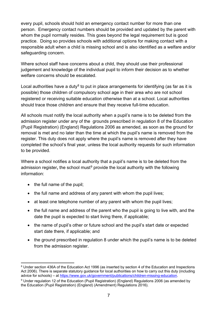every pupil, schools should hold an emergency contact number for more than one person. Emergency contact numbers should be provided and updated by the parent with whom the pupil normally resides. This goes beyond the legal requirement but is good practice. Doing so provides schools with additional options for making contact with a responsible adult when a child is missing school and is also identified as a welfare and/or safeguarding concern.

Where school staff have concerns about a child, they should use their professional judgement and knowledge of the individual pupil to inform their decision as to whether welfare concerns should be escalated.

Local authorities have a duty<sup>[8](#page-6-0)</sup> to put in place arrangements for identifying (as far as it is possible) those children of compulsory school age in their area who are not school registered or receiving suitable education otherwise than at a school. Local authorities should trace those children and ensure that they receive full-time education.

All schools must notify the local authority when a pupil's name is to be deleted from the admission register under any of the grounds prescribed in regulation 8 of the Education (Pupil Registration) (England) Regulations 2006 as amended, as soon as the ground for removal is met and no later than the time at which the pupil's name is removed from the register. This duty does not apply where the pupil's name is removed after they have completed the school's final year, unless the local authority requests for such information to be provided.

Where a school notifies a local authority that a pupil's name is to be deleted from the admission register, the school must<sup>[9](#page-6-1)</sup> provide the local authority with the following information:

- the full name of the pupil;
- the full name and address of any parent with whom the pupil lives;
- at least one telephone number of any parent with whom the pupil lives:
- the full name and address of the parent who the pupil is going to live with, and the date the pupil is expected to start living there, if applicable;
- the name of pupil's other or future school and the pupil's start date or expected start date there, if applicable; and
- the ground prescribed in regulation 8 under which the pupil's name is to be deleted from the admission register.

<span id="page-6-0"></span> $\overline{a}$ 8 Under section 436A of the Education Act 1996 (as inserted by section 4 of the Education and Inspections Act 2006). There is separate statutory guidance for local authorities on how to carry out this duty (including advice for schools) – at [https://www.gov.uk/government/publications/children-missing-education.](https://www.gov.uk/government/publications/children-missing-education)

<span id="page-6-1"></span><sup>9</sup> Under regulation 12 of the Education (Pupil Registration) (England) Regulations 2006 (as amended by the Education (Pupil Registration) (England) (Amendment) Regulations 2016).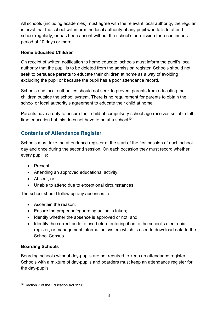All schools (including academies) must agree with the relevant local authority, the regular interval that the school will inform the local authority of any pupil who fails to attend school regularly, or has been absent without the school's permission for a continuous period of 10 days or more.

#### **Home Educated Children**

On receipt of written notification to home educate, schools must inform the pupil's local authority that the pupil is to be deleted from the admission register. Schools should not seek to persuade parents to educate their children at home as a way of avoiding excluding the pupil or because the pupil has a poor attendance record.

Schools and local authorities should not seek to prevent parents from educating their children outside the school system. There is no requirement for parents to obtain the school or local authority's agreement to educate their child at home.

Parents have a duty to ensure their child of compulsory school age receives suitable full time education but this does not have to be at a school<sup>[10](#page-7-1)</sup>.

## <span id="page-7-0"></span>**Contents of Attendance Register**

Schools must take the attendance register at the start of the first session of each school day and once during the second session. On each occasion they must record whether every pupil is:

- Present;
- Attending an approved educational activity;
- Absent; or,
- Unable to attend due to exceptional circumstances.

The school should follow up any absences to:

- Ascertain the reason;
- Ensure the proper safeguarding action is taken;
- Identify whether the absence is approved or not; and,
- Identify the correct code to use before entering it on to the school's electronic register, or management information system which is used to download data to the School Census.

#### **Boarding Schools**

Boarding schools without day-pupils are not required to keep an attendance register. Schools with a mixture of day-pupils and boarders must keep an attendance register for the day-pupils.

<span id="page-7-1"></span> $\overline{a}$ <sup>10</sup> Section 7 of the Education Act 1996.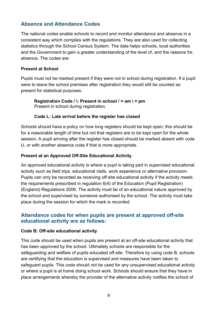#### <span id="page-8-0"></span>**Absence and Attendance Codes**

The national codes enable schools to record and monitor attendance and absence in a consistent way which complies with the regulations. They are also used for collecting statistics through the School Census System. The data helps schools, local authorities and the Government to gain a greater understanding of the level of, and the reasons for, absence. The codes are:

#### **Present at School**

Pupils must not be marked present if they were not in school during registration. If a pupil were to leave the school premises after registration they would still be counted as present for statistical purposes.

**Registration Code / \: Present in school / = am \ = pm** Present in school during registration.

#### **Code L: Late arrival before the register has closed**

Schools should have a policy on how long registers should be kept open; this should be for a reasonable length of time but not that registers are to be kept open for the whole session. A pupil arriving after the register has closed should be marked absent with code U, or with another absence code if that is more appropriate.

#### **Present at an Approved Off-Site Educational Activity**

An approved educational activity is where a pupil is taking part in supervised educational activity such as field trips, educational visits, work experience or alternative provision. Pupils can only be recorded as receiving off-site educational activity if the activity meets the requirements prescribed in regulation 6(4) of the Education (Pupil Registration) (England) Regulations 2006. The activity must be of an educational nature approved by the school and supervised by someone authorised by the school. The activity must take place during the session for which the mark is recorded.

#### **Attendance codes for when pupils are present at approved off-site educational activity are as follows:**

#### **Code B: Off-site educational activity**

This code should be used when pupils are present at an off-site educational activity that has been approved by the school. Ultimately schools are responsible for the safeguarding and welfare of pupils educated off-site. Therefore by using code B, schools are certifying that the education is supervised and measures have been taken to safeguard pupils. This code should not be used for any unsupervised educational activity or where a pupil is at home doing school work. Schools should ensure that they have in place arrangements whereby the provider of the alternative activity notifies the school of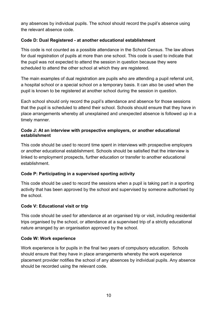any absences by individual pupils. The school should record the pupil's absence using the relevant absence code.

#### **Code D: Dual Registered - at another educational establishment**

This code is not counted as a possible attendance in the School Census. The law allows for dual registration of pupils at more than one school. This code is used to indicate that the pupil was not expected to attend the session in question because they were scheduled to attend the other school at which they are registered.

The main examples of dual registration are pupils who are attending a pupil referral unit, a hospital school or a special school on a temporary basis. It can also be used when the pupil is known to be registered at another school during the session in question.

Each school should only record the pupil's attendance and absence for those sessions that the pupil is scheduled to attend their school. Schools should ensure that they have in place arrangements whereby all unexplained and unexpected absence is followed up in a timely manner.

#### **Code J: At an interview with prospective employers, or another educational establishment**

This code should be used to record time spent in interviews with prospective employers or another educational establishment. Schools should be satisfied that the interview is linked to employment prospects, further education or transfer to another educational establishment.

#### **Code P: Participating in a supervised sporting activity**

This code should be used to record the sessions when a pupil is taking part in a sporting activity that has been approved by the school and supervised by someone authorised by the school.

#### **Code V: Educational visit or trip**

This code should be used for attendance at an organised trip or visit, including residential trips organised by the school, or attendance at a supervised trip of a strictly educational nature arranged by an organisation approved by the school.

#### **Code W: Work experience**

Work experience is for pupils in the final two years of compulsory education. Schools should ensure that they have in place arrangements whereby the work experience placement provider notifies the school of any absences by individual pupils. Any absence should be recorded using the relevant code.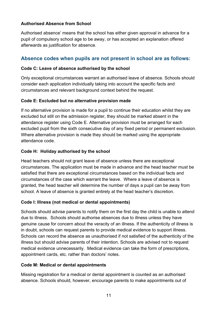#### **Authorised Absence from School**

Authorised absence' means that the school has either given approval in advance for a pupil of compulsory school age to be away, or has accepted an explanation offered afterwards as justification for absence.

#### **Absence codes when pupils are not present in school are as follows:**

#### **Code C: Leave of absence authorised by the school**

Only exceptional circumstances warrant an authorised leave of absence. Schools should consider each application individually taking into account the specific facts and circumstances and relevant background context behind the request.

#### **Code E: Excluded but no alternative provision made**

If no alternative provision is made for a pupil to continue their education whilst they are excluded but still on the admission register, they should be marked absent in the attendance register using Code E. Alternative provision must be arranged for each excluded pupil from the sixth consecutive day of any fixed period or permanent exclusion. Where alternative provision is made they should be marked using the appropriate attendance code.

#### **Code H: Holiday authorised by the school**

Head teachers should not grant leave of absence unless there are exceptional circumstances. The application must be made in advance and the head teacher must be satisfied that there are exceptional circumstances based on the individual facts and circumstances of the case which warrant the leave. Where a leave of absence is granted, the head teacher will determine the number of days a pupil can be away from school. A leave of absence is granted entirely at the head teacher's discretion.

#### **Code I: Illness (not medical or dental appointments)**

Schools should advise parents to notify them on the first day the child is unable to attend due to illness. Schools should authorise absences due to illness unless they have genuine cause for concern about the veracity of an illness. If the authenticity of illness is in doubt, schools can request parents to provide medical evidence to support illness. Schools can record the absence as unauthorised if not satisfied of the authenticity of the illness but should advise parents of their intention. Schools are advised not to request medical evidence unnecessarily. Medical evidence can take the form of prescriptions, appointment cards, etc. rather than doctors' notes.

#### **Code M: Medical or dental appointments**

Missing registration for a medical or dental appointment is counted as an authorised absence. Schools should, however, encourage parents to make appointments out of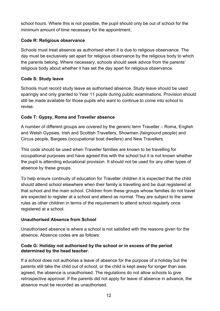school hours. Where this is not possible, the pupil should only be out of school for the minimum amount of time necessary for the appointment.

#### **Code R: Religious observance**

Schools must treat absence as authorised when it is due to religious observance. The day must be exclusively set apart for religious observance by the religious body to which the parents belong. Where necessary, schools should seek advice from the parents' religious body about whether it has set the day apart for religious observance.

#### **Code S: Study leave**

Schools must record study leave as authorised absence. Study leave should be used sparingly and only granted to Year 11 pupils during public examinations. Provision should still be made available for those pupils who want to continue to come into school to revise.

#### **Code T: Gypsy, Roma and Traveller absence**

A number of different groups are covered by the generic term Traveller – Roma, English and Welsh Gypsies, Irish and Scottish Travellers, Showmen (fairground people) and Circus people, Bargees (occupational boat dwellers) and New Travellers.

This code should be used when Traveller families are known to be travelling for occupational purposes and have agreed this with the school but it is not known whether the pupil is attending educational provision. It should not be used for any other types of absence by these groups.

To help ensure continuity of education for Traveller children it is expected that the child should attend school elsewhere when their family is travelling and be dual registered at that school and the main school. Children from these groups whose families do not travel are expected to register at a school and attend as normal. They are subject to the same rules as other children in terms of the requirement to attend school regularly once registered at a school.

#### **Unauthorised Absence from School**

Unauthorised absence is where a school is not satisfied with the reasons given for the absence. Absence codes are as follows:

#### **Code G: Holiday not authorised by the school or in excess of the period determined by the head teacher.**

If a school does not authorise a leave of absence for the purpose of a holiday but the parents still take the child out of school, or the child is kept away for longer than was agreed, the absence is unauthorised. The regulations do not allow schools to give retrospective approval. If the parents did not apply for leave of absence in advance, the absence must be recorded as unauthorised.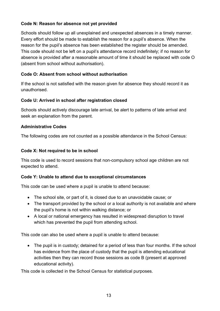#### **Code N: Reason for absence not yet provided**

Schools should follow up all unexplained and unexpected absences in a timely manner. Every effort should be made to establish the reason for a pupil's absence. When the reason for the pupil's absence has been established the register should be amended. This code should not be left on a pupil's attendance record indefinitely; if no reason for absence is provided after a reasonable amount of time it should be replaced with code O (absent from school without authorisation).

#### **Code O: Absent from school without authorisation**

If the school is not satisfied with the reason given for absence they should record it as unauthorised.

#### **Code U: Arrived in school after registration closed**

Schools should actively discourage late arrival, be alert to patterns of late arrival and seek an explanation from the parent.

#### **Administrative Codes**

The following codes are not counted as a possible attendance in the School Census:

#### **Code X: Not required to be in school**

This code is used to record sessions that non-compulsory school age children are not expected to attend.

#### **Code Y: Unable to attend due to exceptional circumstances**

This code can be used where a pupil is unable to attend because:

- The school site, or part of it, is closed due to an unavoidable cause; or
- The transport provided by the school or a local authority is not available and where the pupil's home is not within walking distance; or
- A local or national emergency has resulted in widespread disruption to travel which has prevented the pupil from attending school.

This code can also be used where a pupil is unable to attend because:

• The pupil is in custody; detained for a period of less than four months. If the school has evidence from the place of custody that the pupil is attending educational activities then they can record those sessions as code B (present at approved educational activity).

This code is collected in the School Census for statistical purposes.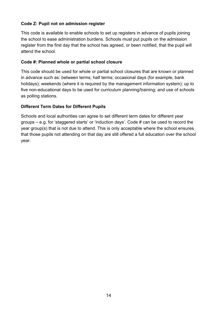#### **Code Z: Pupil not on admission register**

This code is available to enable schools to set up registers in advance of pupils joining the school to ease administration burdens. Schools must put pupils on the admission register from the first day that the school has agreed, or been notified, that the pupil will attend the school*.*

#### **Code #: Planned whole or partial school closure**

This code should be used for whole or partial school closures that are known or planned in advance such as: between terms; half terms; occasional days (for example, bank holidays); weekends (where it is required by the management information system); up to five non-educational days to be used for curriculum planning/training; and use of schools as polling stations.

#### **Different Term Dates for Different Pupils**

Schools and local authorities can agree to set different term dates for different year groups – e.g. for 'staggered starts' or 'induction days'. Code # can be used to record the year group(s) that is not due to attend. This is only acceptable where the school ensures that those pupils not attending on that day are still offered a full education over the school year.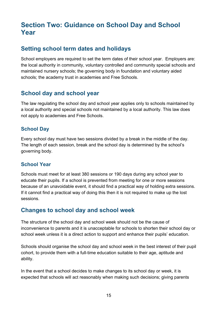# <span id="page-14-0"></span>**Section Two: Guidance on School Day and School Year**

## <span id="page-14-1"></span>**Setting school term dates and holidays**

School employers are required to set the term dates of their school year. Employers are: the local authority in community, voluntary controlled and community special schools and maintained nursery schools; the governing body in foundation and voluntary aided schools; the academy trust in academies and Free Schools.

## <span id="page-14-2"></span>**School day and school year**

The law regulating the school day and school year applies only to schools maintained by a local authority and special schools not maintained by a local authority. This law does not apply to academies and Free Schools.

#### <span id="page-14-3"></span>**School Day**

Every school day must have two sessions divided by a break in the middle of the day. The length of each session, break and the school day is determined by the school's governing body.

#### <span id="page-14-4"></span>**School Year**

Schools must meet for at least 380 sessions or 190 days during any school year to educate their pupils. If a school is prevented from meeting for one or more sessions because of an unavoidable event, it should find a practical way of holding extra sessions. If it cannot find a practical way of doing this then it is not required to make up the lost sessions.

## **Changes to school day and school week**

The structure of the school day and school week should not be the cause of inconvenience to parents and it is unacceptable for schools to shorten their school day or school week unless it is a direct action to support and enhance their pupils' education.

Schools should organise the school day and school week in the best interest of their pupil cohort, to provide them with a full-time education suitable to their age, aptitude and ability.

In the event that a school decides to make changes to its school day or week, it is expected that schools will act reasonably when making such decisions; giving parents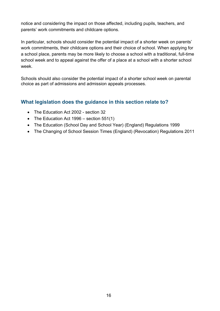notice and considering the impact on those affected, including pupils, teachers, and parents' work commitments and childcare options.

In particular, schools should consider the potential impact of a shorter week on parents' work commitments, their childcare options and their choice of school. When applying for a school place, parents may be more likely to choose a school with a traditional, full-time school week and to appeal against the offer of a place at a school with a shorter school week.

Schools should also consider the potential impact of a shorter school week on parental choice as part of admissions and admission appeals processes.

#### <span id="page-15-0"></span>**What legislation does the guidance in this section relate to?**

- The Education Act 2002 section 32
- The Education Act 1996 section 551(1)
- The Education (School Day and School Year) (England) Regulations 1999
- The Changing of School Session Times (England) (Revocation) Regulations 2011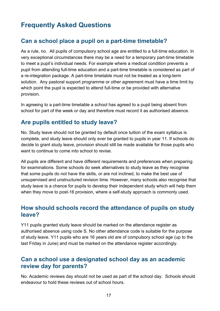# <span id="page-16-0"></span>**Frequently Asked Questions**

## **Can a school place a pupil on a part-time timetable?**

As a rule, no. All pupils of compulsory school age are entitled to a full-time education. In very exceptional circumstances there may be a need for a temporary part-time timetable to meet a pupil's individual needs. For example where a medical condition prevents a pupil from attending full-time education and a part-time timetable is considered as part of a re-integration package. A part-time timetable must not be treated as a long-term solution. Any pastoral support programme or other agreement must have a time limit by which point the pupil is expected to attend full-time or be provided with alternative provision.

In agreeing to a part-time timetable a school has agreed to a pupil being absent from school for part of the week or day and therefore must record it as authorised absence.

## **Are pupils entitled to study leave?**

No. Study leave should not be granted by default once tuition of the exam syllabus is complete, and study leave should only ever be granted to pupils in year 11. If schools do decide to grant study leave, provision should still be made available for those pupils who want to continue to come into school to revise.

All pupils are different and have different requirements and preferences when preparing for examinations. Some schools do seek alternatives to study leave as they recognise that some pupils do not have the skills, or are not inclined, to make the best use of unsupervised and unstructured revision time. However, many schools also recognise that study leave is a chance for pupils to develop their independent study which will help them when they move to post-16 provision, where a self-study approach is commonly used.

## **How should schools record the attendance of pupils on study leave?**

Y11 pupils granted study leave should be marked on the attendance register as authorised absence using code S. No other attendance code is suitable for the purpose of study leave. Y11 pupils who are 16 years old are of compulsory school age (up to the last Friday in June) and must be marked on the attendance register accordingly.

## **Can a school use a designated school day as an academic review day for parents?**

No. Academic reviews day should not be used as part of the school day. Schools should endeavour to hold these reviews out of school hours.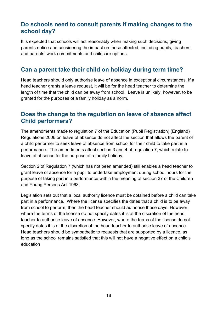## **Do schools need to consult parents if making changes to the school day?**

It is expected that schools will act reasonably when making such decisions; giving parents notice and considering the impact on those affected, including pupils, teachers, and parents' work commitments and childcare options.

## **Can a parent take their child on holiday during term time?**

Head teachers should only authorise leave of absence in exceptional circumstances. If a head teacher grants a leave request, it will be for the head teacher to determine the length of time that the child can be away from school. Leave is unlikely, however, to be granted for the purposes of a family holiday as a norm.

## **Does the change to the regulation on leave of absence affect Child performers?**

The amendments made to regulation 7 of the Education (Pupil Registration) (England) Regulations 2006 on leave of absence do not affect the section that allows the parent of a child performer to seek leave of absence from school for their child to take part in a performance. The amendments affect section 3 and 4 of regulation 7, which relate to leave of absence for the purpose of a family holiday.

Section 2 of Regulation 7 (which has not been amended) still enables a head teacher to grant leave of absence for a pupil to undertake employment during school hours for the purpose of taking part in a performance within the meaning of section 37 of the Children and Young Persons Act 1963.

Legislation sets out that a local authority licence must be obtained before a child can take part in a performance. Where the license specifies the dates that a child is to be away from school to perform, then the head teacher should authorise those days. However, where the terms of the license do not specify dates it is at the discretion of the head teacher to authorise leave of absence. However, where the terms of the license do not specify dates it is at the discretion of the head teacher to authorise leave of absence. Head teachers should be sympathetic to requests that are supported by a licence, as long as the school remains satisfied that this will not have a negative effect on a child's education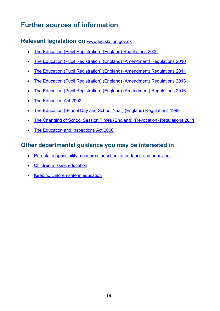# <span id="page-18-0"></span>**Further sources of information**

### <span id="page-18-1"></span>**Relevant legislation on** [www.legislation.gov.uk](http://www.legislation.gov.uk/)

- [The Education \(Pupil Registration\) \(England\) Regulations 2006](http://www.legislation.gov.uk/uksi/2006/1751/contents/made)
- [The Education \(Pupil Registration\) \(England\) \(Amendment\) Regulations 2010](http://www.legislation.gov.uk/uksi/2010/1725/contents/made)
- [The Education \(Pupil Registration\) \(England\) \(Amendment\) Regulations 2011](http://www.legislation.gov.uk/uksi/2011/1625/contents/made)
- [The Education \(Pupil Registration\) \(England\) \(Amendment\) Regulations 2013](http://www.legislation.gov.uk/uksi/2013/756/contents/made)
- [The Education \(Pupil Registration\) \(England\) \(Amendment\) Regulations 2016](http://www.legislation.gov.uk/uksi/2016/792/contents/made)
- The Education Act 2002
- [The Education \(School Day and School Year\) \(England\) Regulations 1999](http://www.legislation.gov.uk/uksi/1999/3181/contents/made)
- [The Changing of School Session Times \(England\) \(Revocation\) Regulations 2011](http://www.legislation.gov.uk/uksi/2011/1954/made)
- The Education and Inspections Act 2006

## <span id="page-18-2"></span>**Other departmental guidance you may be interested in**

- Parental responsibility measures [for school attendance and behaviour](https://www.education.gov.uk/g00229776/measures-attendance-behaviour)
- [Children missing education](https://www.gov.uk/government/publications/children-missing-education)
- [Keeping children safe in education](https://www.gov.uk/government/publications/keeping-children-safe-in-education--2)